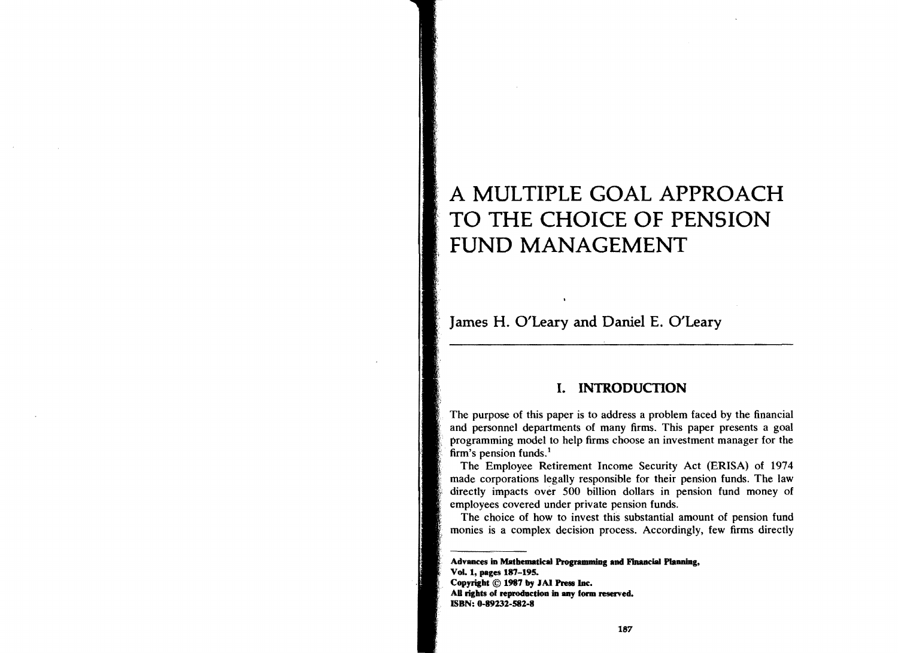# A MULTIPLE GOAL APPROACH TO THE CHOICE OF PENSION FUND MANAGEMENT

James H. O'Leary and Daniel E. O'Leary

# I. INTRODUCTION

The purpose of this paper is to address a problem faced by the financial and personnel departments of many firms. This paper presents a goal programming model to help firms choose an investment manager for the firm's pension funds.<sup>1</sup>

The Employee Retirement Income Security Act (ERISA) of 1974 made corporations legally responsible for their pension funds. The law directly impacts over 500 billion dollars in pension fund money of employees covered under private pension funds.

The choice of how to invest this substantial amount of pension fund monies is a complex decision process. Accordingly, few firms directly

Advances in Mathematical Programming and Financial Planning, VoL 1, pages 187-195. Copyright © 1987 by IAI Press lac. All rights of reproduction in any form reserved. ISBN: 0-89232-582-8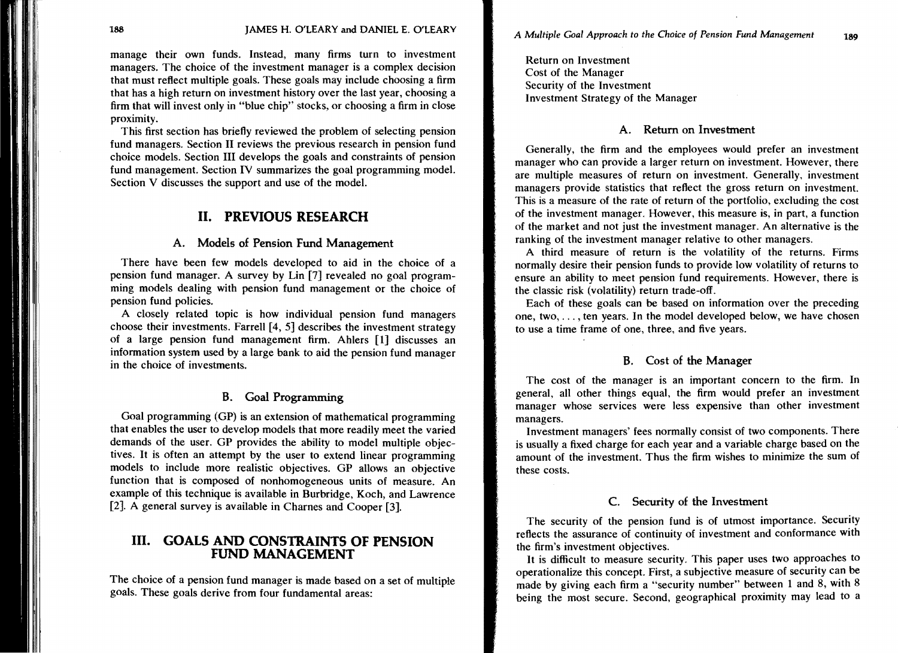manage their own funds. Instead, many firms turn to investment managers. The choice of the investment manager is a complex decision that must reflect multiple goals. These goals may include choosing a firm that has a high return on investment history over the last year, choosing a firm that will invest only in "blue chip" stocks, or choosing a firm in close proximity.

This first section has briefly reviewed the problem of selecting pension fund managers. Section II reviews the previous research in pension fund choice models. Section III develops the goals and constraints of pension fund management. Section IV summarizes the goal programming model. Section V discusses the support and use of the model.

# **II. PREVIOUS RESEARCH**

#### A. Models of Pension Fund Management

There have been few models developed to aid in the choice of a pension fund manager. A survey by Lin [7] revealed no goal programming models dealing with pension fund management or the choice of pension fund policies.

A closely related topic is how individual pension fund managers choose their investments. Farrell [4, 5] describes the investment strategy of a large pension fund management firm. Ahlers [1] discusses an information system used by a large bank to aid the pension fund manager in the choice of investments.

# B. Goal Programming

Goal programming (GP) is an extension of mathematical programming that enables the user to develop models that more readily meet the varied demands of the user. GP provides the ability to model multiple objectives. It is often an attempt by the user to extend linear programming models to include more realistic objectives. GP aIlows an objective function that is composed of nonhomogeneous units of measure. An example of this technique is available in Burbridge, Koch, and Lawrence [2]. A general survey is available in Charnes and Cooper [3].

# **III. GOALS AND CONSTRAINTS OF PENSION FUND MANAGEMENT**

The choice of a pension fund manager is made based on a set of multiple goals. These goals derive from four fundamental areas:

Return on Investment Cost of the Manager Security of the Investment Investment Strategy of the Manager

#### A. Return on Investment

Generally, the firm and the employees would prefer an investment manager who can provide a larger return on investment. However, there are multiple measures of return on investment. Generally, investment managers provide statistics that reflect the gross return on investment. This is a measure of the rate of return of the portfolio, excluding the cost of the investment manager. However, this measure is, in part, a function of the market and not just the investment manager. An alternative is the ranking of the investment manager relative to other managers.

A third measure of return is the volatility of the returns. Firms normally desire their pension funds to provide low volatility of returns to ensure an ability to meet pension fund requirements. However, there is the classic risk (volatility) return trade-off.

Each of these goals can be based on information over the preceding one, two, ... , ten years. In the model developed below, we have chosen to use a time frame of one, three, and five years.

#### B. Cost of the Manager

The cost of the manager is an important concern to the firm. In general, all other things equal, the firm would prefer an investment manager whose services were less expensive than other investment managers.

Investment managers' fees normally consist of two components. There is usually a fixed charge for each year and a variable charge based on the amount of the investment. Thus the firm wishes to minimize the sum of these costs.

#### C. Security of the Investment

The security of the pension fund is of utmost importance. Security reflects the assurance of continuity of investment and conformance with the firm's investment objectives.

It is difficult to measure security. This paper uses two approaches to operationalize this concept. First, a subjective measure of security can be made by giving each firm a "security number" between 1 and 8, with 8 being the most secure. Second, geographical proximity may lead to a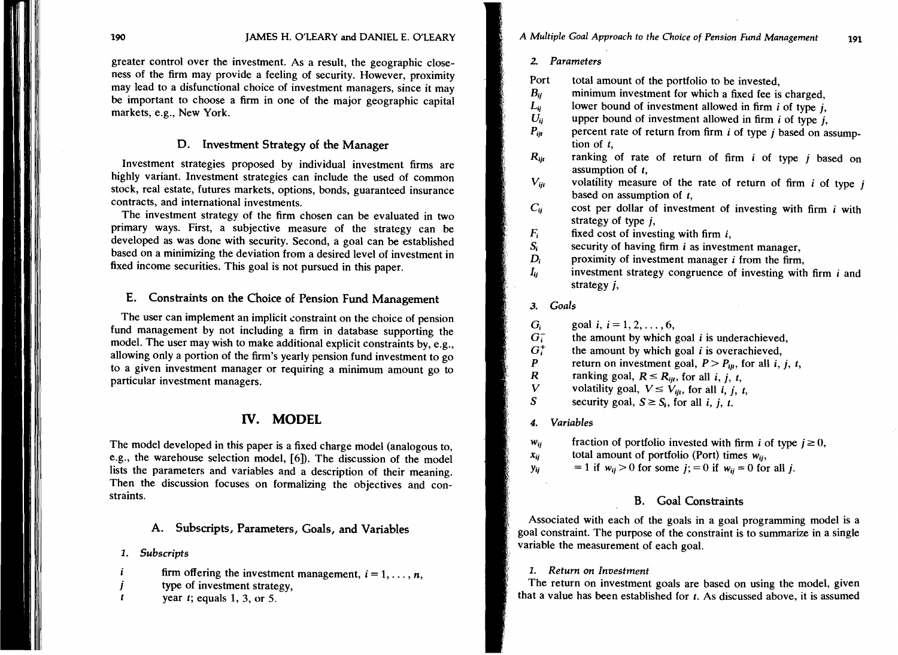greater control over the investment. As a result, the geographic closeness of the firm may provide a feeling of security. However, proximity may lead to a disfunctional choice of investment managers, since it may be important to choose a firm in one of the major geographic capital markets, e.g., New York.

#### D. Investment Strategy of the Manager

Investment strategies proposed by individual investment firms are highly variant. Investment strategies can include the used of common stock, real estate, futures markets, options, bonds, guaranteed insurance contracts, and international investments.

The investment strategy of the firm chosen can be evaluated in two primary ways. First, a subjective measure of the strategy can be developed as was done with security. Second, a goal can be established based on a minimizing the deviation from a desired level of investment in fixed income securities. This goal is not pursued in this paper.

# E. Constraints on the Choice of Pension Fund Management

The user can implement an implicit constraint on the choice of pension fund management by not including a firm in database supporting the model. The user may wish to make additional explicit constraints by, e.g., allowing only a portion of the firm's yearly pension fund investment to go to a given investment manager or requiring a minimum amount go to particular investment managers.

# IV. **MODEL**

The model developed in this paper is a fixed charge model (analogous to, e.g., the warehouse selection model, [6]). The discussion of the model lists the parameters and variables and a description of their meaning. Then the discussion focuses on formalizing the objectives and constraints.

# A. Subscripts, Parameters, Goals, and Variables

- 1. *Subscripts*
- firm offering the investment management,  $i = 1, \ldots, n$ , i
- type of investment strategy,
- $\mathbf{t}$ year *t;* equals 1, 3, or 5.

#### *2. Parameters*

- Port total amount of the portfolio to be invested,<br> $B_{ii}$  minimum investment for which a fixed fee is
	- minimum investment for which a fixed fee is charged.
- $L_{ij}$  lower bound of investment allowed in firm *i* of type *j*,<br> $U_{ii}$  upper bound of investment allowed in firm *i* of type *i*
- $U_{ij}$  upper bound of investment allowed in firm *i* of type *j*,<br> $P_{ii}$  percent rate of return from firm *i* of type *i* based on a
- $P_{ijt}$  percent rate of return from firm *i* of type *j* based on assumption of *t,*
- R<sub>it</sub> ranking of rate of return of firm *i* of type *j* based on assumption of *t,*
- $V_{ii}$  volatility measure of the rate of return of firm *i* of type *i* based on assumption of *t,*
- $C_{ii}$  cost per dollar of investment of investing with firm *i* with strategy of type j,
- $F_i$  fixed cost of investing with firm *i*,<br> $S_i$  security of having firm *i* as investi
- $S_i$  security of having firm *i* as investment manager,<br> $D_i$  proximity of investment manager *i* from the firm
	- proximity of investment manager *i* from the firm,
- *Iij* investment strategy congruence of investing with firm *i* and strategy j,

#### *3. Goals*

- $G_i$  goal *i*,  $i = 1, 2, ..., 6$ ,<br> $G_i^-$  the amount by which
- the amount by which goal  $i$  is underachieved,
- $G_i^+$  the amount by which goal *i* is overachieved,
- P return on investment goal,  $P > P_{ijt}$ , for all *i, j, t, R* ranking goal,  $R \le R_{ijt}$ , for all *i, i, t*,
- *R* ranking goal,  $R \leq R_{ijt}$ , for all *i*, *j*, *t*,
- *V* volatility goal,  $V \le V_{ijt}$ , for all *i, j, t, S* security goal  $S > S$ , for all *i*, *i*,
- S security goal,  $S \geq S_i$ , for all *i*, *j*, *t*.

#### *4. Variables*

- $w_{ij}$  fraction of portfolio invested with firm *i* of type  $j \ge 0$ ,
- $x_{ij}$  total amount of portfolio (Port) times  $w_{ii}$ ,
- $y_{ij}$  = 1 if  $w_{ij} > 0$  for some  $j$ ; = 0 if  $w_{ii} = 0$  for all j.

#### B. Goal Constraints

Associated with each of the goals in a goal programming model is a goal constraint. The purpose of the constraint is to summarize in a single variable the measurement of each goal.

#### 1. *Return on Investment*

The return on investment goals are based on using the model, given that a value has been established for *t.* As discussed above, it is assumed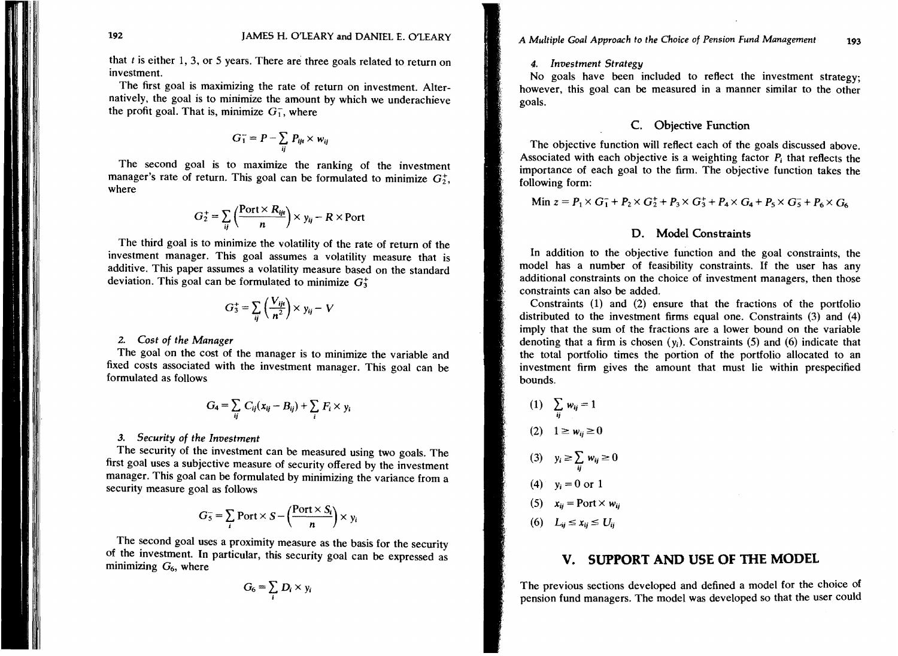that *t* is either 1, 3, or 5 years. There are three goals related to return on investment.

The first goal is maximizing the rate of return on investment. Alternatively, the goal is to minimize the amount by which we underachieve the profit goal. That is, minimize  $G_1$ , where

$$
G_1^- = P - \sum_{ij} P_{ijt} \times w_{ij}
$$

The second goal is to maximize the ranking of the investment manager's rate of return. This goal can be formulated to minimize  $G_2^+$ . where

$$
G_2^+ = \sum_{ij} \left( \frac{\text{Port} \times R_{ijt}}{n} \right) \times y_{ij} - R \times \text{Port}
$$

The third goal is to minimize the volatility of the rate of return of the investment manager. This goal assumes a volatility measure that is additive. This paper assumes a volatility measure based on the standard deviation. This goal can be formulated to minimize  $G_3^+$ 

$$
G_3^+ = \sum_{ij} \left(\frac{V_{ijt}}{n^2}\right) \times y_{ij} - V
$$

#### *2. Cost of the Manager*

The goal on the cost of the manager is to minimize the variable and fixed costs associated with the investment manager. This goal can be formulated as follows

$$
G_4 = \sum_{ij} C_{ij} (x_{ij} - B_{ij}) + \sum_i F_i \times y_i
$$

#### *3. Security* of *the Investment*

The security of the investment can be measured using two goals. The first goal uses a subjective measure of security offered by the investment manager. This goal can be formulated by minimizing the variance from a security measure goal as follows

$$
G_5^- = \sum_i \text{Port} \times S - \left(\frac{\text{Port} \times S_i}{n}\right) \times y_i
$$

The second goal uses a proximity measure as the basis for the security of the investment. In particular, this security goal can be expressed as minimizing  $G_6$ , where

$$
G_6=\sum_i D_i\times y_i
$$

# 192 193 JAMES H. O'LEARY and DANIEL E. O'LEARY A *Multiple Goal Approach* to *the Choice* of *Pension Fund Management*

#### 4. *Investment Strategy*

No goals have been included to reflect the investment strategy; however, this goal can be measured in a manner similar to the other goals.

#### C. Objective Function

The objective function will reflect each of the goals discussed above. Associated with each objective is a weighting factor  $P_i$  that reflects the importance of each goal to the firm. The objective function takes the following form:

Min 
$$
z = P_1 \times G_1^+ + P_2 \times G_2^+ + P_3 \times G_3^+ + P_4 \times G_4 + P_5 \times G_5^+ + P_6 \times G_6
$$

#### D. Model Constraints

In addition to the objective function and the goal constraints, the model has a number of feasibility constraints. If the user has any additional constraints on the choice of investment managers, then those constraints can also be added.

Constraints (1) and (2) ensure that the fractions of the portfolio distributed to the investment firms equal one. Constraints (3) and (4) imply that the sum of the fractions are a lower bound on the variable denoting that a firm is chosen  $(y_i)$ . Constraints (5) and (6) indicate that the total portfolio times the portion of the portfolio allocated to an investment firm gives the amount that must lie within prespecified bounds.

(1) 
$$
\sum_{ij} w_{ij} = 1
$$
  
\n(2) 
$$
1 \ge w_{ij} \ge 0
$$
  
\n(3) 
$$
y_i \ge \sum_{ij} w_{ij} \ge 0
$$
  
\n(4) 
$$
y_i = 0 \text{ or } 1
$$
  
\n(5) 
$$
x_{ij} = \text{Port} \times w_{ij}
$$
  
\n(6) 
$$
L_{ij} \le x_{ij} \le U_{ij}
$$

# **v. SUPPORT AND USE OF THE MODEL**

The previous sections developed and defined a model for the choice of pension fund managers. The model was developed so that the user could